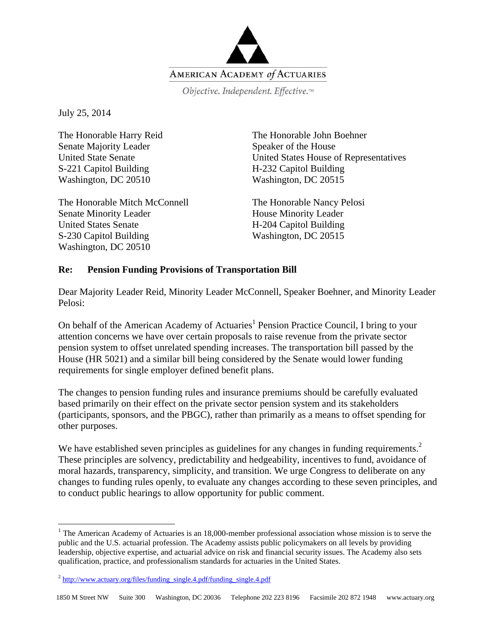

Objective. Independent. Effective.™

July 25, 2014

 $\overline{a}$ 

The Honorable Harry Reid Senate Majority Leader United State Senate S-221 Capitol Building Washington, DC 20510

The Honorable Mitch McConnell Senate Minority Leader United States Senate S-230 Capitol Building Washington, DC 20510

The Honorable John Boehner Speaker of the House United States House of Representatives H-232 Capitol Building Washington, DC 20515

The Honorable Nancy Pelosi House Minority Leader H-204 Capitol Building Washington, DC 20515

## **Re: Pension Funding Provisions of Transportation Bill**

Dear Majority Leader Reid, Minority Leader McConnell, Speaker Boehner, and Minority Leader Pelosi:

On behalf of the American Academy of Actuaries<sup>1</sup> Pension Practice Council, I bring to your attention concerns we have over certain proposals to raise revenue from the private sector pension system to offset unrelated spending increases. The transportation bill passed by the House (HR 5021) and a similar bill being considered by the Senate would lower funding requirements for single employer defined benefit plans.

The changes to pension funding rules and insurance premiums should be carefully evaluated based primarily on their effect on the private sector pension system and its stakeholders (participants, sponsors, and the PBGC), rather than primarily as a means to offset spending for other purposes.

We have established seven principles as guidelines for any changes in funding requirements.<sup>2</sup> These principles are solvency, predictability and hedgeability, incentives to fund, avoidance of moral hazards, transparency, simplicity, and transition. We urge Congress to deliberate on any changes to funding rules openly, to evaluate any changes according to these seven principles, and to conduct public hearings to allow opportunity for public comment.

<sup>&</sup>lt;sup>1</sup> The American Academy of Actuaries is an 18,000-member professional association whose mission is to serve the public and the U.S. actuarial profession. The Academy assists public policymakers on all levels by providing leadership, objective expertise, and actuarial advice on risk and financial security issues. The Academy also sets qualification, practice, and professionalism standards for actuaries in the United States.

 $2 \frac{\text{http://www.actuary.org/files/funding\_single.4.pdf/funding\_single.4.pdf}{$